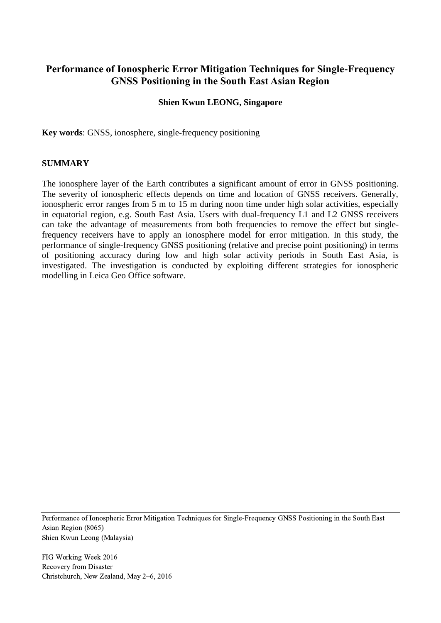# **Performance of Ionospheric Error Mitigation Techniques for Single-Frequency GNSS Positioning in the South East Asian Region**

# **Shien Kwun LEONG, Singapore**

**Key words**: GNSS, ionosphere, single-frequency positioning

#### **SUMMARY**

The ionosphere layer of the Earth contributes a significant amount of error in GNSS positioning. The severity of ionospheric effects depends on time and location of GNSS receivers. Generally, ionospheric error ranges from 5 m to 15 m during noon time under high solar activities, especially in equatorial region, e.g. South East Asia. Users with dual-frequency L1 and L2 GNSS receivers can take the advantage of measurements from both frequencies to remove the effect but singlefrequency receivers have to apply an ionosphere model for error mitigation. In this study, the performance of single-frequency GNSS positioning (relative and precise point positioning) in terms of positioning accuracy during low and high solar activity periods in South East Asia, is investigated. The investigation is conducted by exploiting different strategies for ionospheric modelling in Leica Geo Office software.

Performance of Ionospheric Error Mitigation Techniques for Single-Frequency GNSS Positioning in the South East Asian Region (8065) Shien Kwun Leong (Malaysia)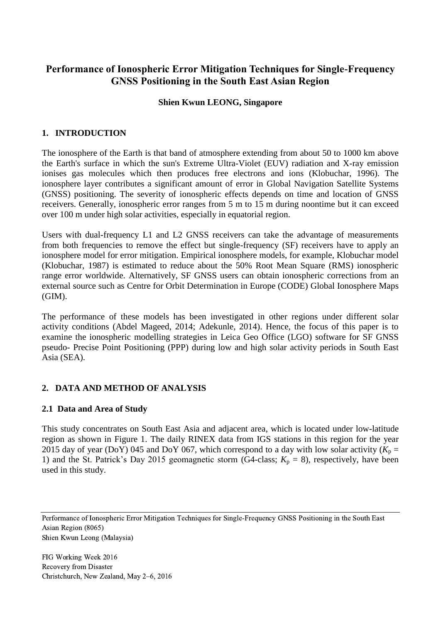# **Performance of Ionospheric Error Mitigation Techniques for Single-Frequency GNSS Positioning in the South East Asian Region**

# **Shien Kwun LEONG, Singapore**

# **1. INTRODUCTION**

The ionosphere of the Earth is that band of atmosphere extending from about 50 to 1000 km above the Earth's surface in which the sun's Extreme Ultra-Violet (EUV) radiation and X-ray emission ionises gas molecules which then produces free electrons and ions (Klobuchar, 1996). The ionosphere layer contributes a significant amount of error in Global Navigation Satellite Systems (GNSS) positioning. The severity of ionospheric effects depends on time and location of GNSS receivers. Generally, ionospheric error ranges from 5 m to 15 m during noontime but it can exceed over 100 m under high solar activities, especially in equatorial region.

Users with dual-frequency L1 and L2 GNSS receivers can take the advantage of measurements from both frequencies to remove the effect but single-frequency (SF) receivers have to apply an ionosphere model for error mitigation. Empirical ionosphere models, for example, Klobuchar model (Klobuchar, 1987) is estimated to reduce about the 50% Root Mean Square (RMS) ionospheric range error worldwide. Alternatively, SF GNSS users can obtain ionospheric corrections from an external source such as Centre for Orbit Determination in Europe (CODE) Global Ionosphere Maps (GIM).

The performance of these models has been investigated in other regions under different solar activity conditions (Abdel Mageed, 2014; Adekunle, 2014). Hence, the focus of this paper is to examine the ionospheric modelling strategies in Leica Geo Office (LGO) software for SF GNSS pseudo- Precise Point Positioning (PPP) during low and high solar activity periods in South East Asia (SEA).

# **2. DATA AND METHOD OF ANALYSIS**

# **2.1 Data and Area of Study**

This study concentrates on South East Asia and adjacent area, which is located under low-latitude region as shown in Figure 1. The daily RINEX data from IGS stations in this region for the year 2015 day of year (DoY) 045 and DoY 067, which correspond to a day with low solar activity ( $K_p =$ 1) and the St. Patrick's Day 2015 geomagnetic storm (G4-class;  $K_p = 8$ ), respectively, have been used in this study.

Performance of Ionospheric Error Mitigation Techniques for Single-Frequency GNSS Positioning in the South East Asian Region (8065) Shien Kwun Leong (Malaysia)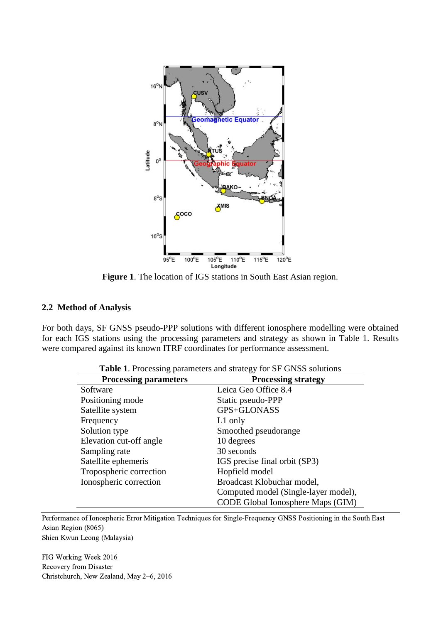

**Figure 1**. The location of IGS stations in South East Asian region.

#### **2.2 Method of Analysis**

For both days, SF GNSS pseudo-PPP solutions with different ionosphere modelling were obtained for each IGS stations using the processing parameters and strategy as shown in Table 1. Results were compared against its known ITRF coordinates for performance assessment.

|  |  | Table 1. Processing parameters and strategy for SF GNSS solutions |
|--|--|-------------------------------------------------------------------|
|  |  |                                                                   |

| <b>Processing parameters</b> | <b>Processing strategy</b>           |  |  |
|------------------------------|--------------------------------------|--|--|
| Software                     | Leica Geo Office 8.4                 |  |  |
| Positioning mode             | Static pseudo-PPP                    |  |  |
| Satellite system             | GPS+GLONASS                          |  |  |
| Frequency                    | $L1$ only                            |  |  |
| Solution type                | Smoothed pseudorange                 |  |  |
| Elevation cut-off angle      | 10 degrees                           |  |  |
| Sampling rate                | 30 seconds                           |  |  |
| Satellite ephemeris          | IGS precise final orbit (SP3)        |  |  |
| Tropospheric correction      | Hopfield model                       |  |  |
| Ionospheric correction       | Broadcast Klobuchar model,           |  |  |
|                              | Computed model (Single-layer model), |  |  |
|                              | CODE Global Ionosphere Maps (GIM)    |  |  |

Performance of Ionospheric Error Mitigation Techniques for Single-Frequency GNSS Positioning in the South East Asian Region (8065) Shien Kwun Leong (Malaysia)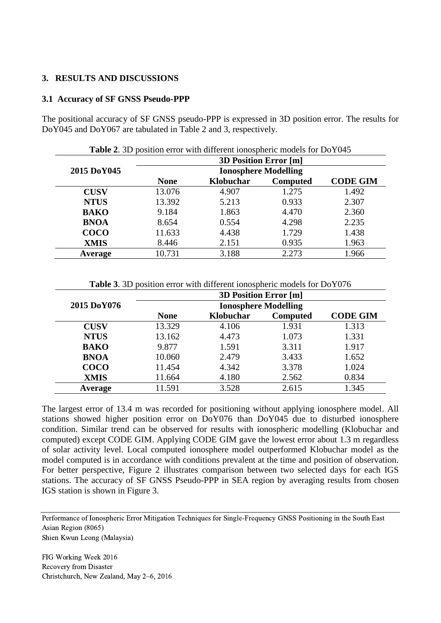### **3. RESULTS AND DISCUSSIONS**

#### **3.1 Accuracy of SF GNSS Pseudo-PPP**

The positional accuracy of SF GNSS pseudo-PPP is expressed in 3D position error. The results for DoY045 and DoY067 are tabulated in Table 2 and 3, respectively.

| <b>Table 2.</b> 5D position error with different ionospheric models for Do 1045 |                              |           |          |                 |  |
|---------------------------------------------------------------------------------|------------------------------|-----------|----------|-----------------|--|
|                                                                                 | <b>3D Position Error [m]</b> |           |          |                 |  |
| 2015 DoY045                                                                     | <b>Ionosphere Modelling</b>  |           |          |                 |  |
|                                                                                 | <b>None</b>                  | Klobuchar | Computed | <b>CODE GIM</b> |  |
| <b>CUSV</b>                                                                     | 13.076                       | 4.907     | 1.275    | 1.492           |  |
| <b>NTUS</b>                                                                     | 13.392                       | 5.213     | 0.933    | 2.307           |  |
| <b>BAKO</b>                                                                     | 9.184                        | 1.863     | 4.470    | 2.360           |  |
| <b>BNOA</b>                                                                     | 8.654                        | 0.554     | 4.298    | 2.235           |  |
| <b>COCO</b>                                                                     | 11.633                       | 4.438     | 1.729    | 1.438           |  |
| <b>XMIS</b>                                                                     | 8.446                        | 2.151     | 0.935    | 1.963           |  |
| Average                                                                         | 10.731                       | 3.188     | 2.273    | 1.966           |  |

**Table 2**. 3D position error with different ionospheric models for DoY045

**Table 3**. 3D position error with different ionospheric models for DoY076

|             | <b>3D Position Error [m]</b> |           |                 |                 |  |
|-------------|------------------------------|-----------|-----------------|-----------------|--|
| 2015 DoY076 | <b>Ionosphere Modelling</b>  |           |                 |                 |  |
|             | <b>None</b>                  | Klobuchar | <b>Computed</b> | <b>CODE GIM</b> |  |
| <b>CUSV</b> | 13.329                       | 4.106     | 1.931           | 1.313           |  |
| <b>NTUS</b> | 13.162                       | 4.473     | 1.073           | 1.331           |  |
| <b>BAKO</b> | 9.877                        | 1.591     | 3.311           | 1.917           |  |
| <b>BNOA</b> | 10.060                       | 2.479     | 3.433           | 1.652           |  |
| <b>COCO</b> | 11.454                       | 4.342     | 3.378           | 1.024           |  |
| <b>XMIS</b> | 11.664                       | 4.180     | 2.562           | 0.834           |  |
| Average     | 11.591                       | 3.528     | 2.615           | 1.345           |  |
|             |                              |           |                 |                 |  |

The largest error of 13.4 m was recorded for positioning without applying ionosphere model. All stations showed higher position error on DoY076 than DoY045 due to disturbed ionosphere condition. Similar trend can be observed for results with ionospheric modelling (Klobuchar and computed) except CODE GIM. Applying CODE GIM gave the lowest error about 1.3 m regardless of solar activity level. Local computed ionosphere model outperformed Klobuchar model as the model computed is in accordance with conditions prevalent at the time and position of observation. For better perspective, Figure 2 illustrates comparison between two selected days for each IGS stations. The accuracy of SF GNSS Pseudo-PPP in SEA region by averaging results from chosen IGS station is shown in Figure 3.

Performance of Ionospheric Error Mitigation Techniques for Single-Frequency GNSS Positioning in the South East Asian Region (8065) Shien Kwun Leong (Malaysia)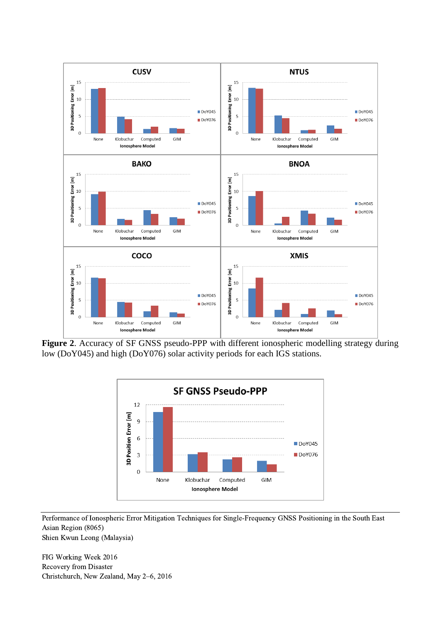

**Figure 2**. Accuracy of SF GNSS pseudo-PPP with different ionospheric modelling strategy during low (DoY045) and high (DoY076) solar activity periods for each IGS stations.



Performance of Ionospheric Error Mitigation Techniques for Single-Frequency GNSS Positioning in the South East Asian Region (8065)

Shien Kwun Leong (Malaysia)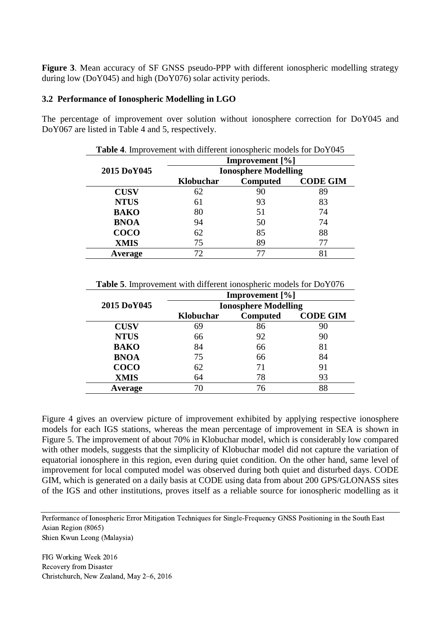**Figure 3**. Mean accuracy of SF GNSS pseudo-PPP with different ionospheric modelling strategy during low (DoY045) and high (DoY076) solar activity periods.

## **3.2 Performance of Ionospheric Modelling in LGO**

The percentage of improvement over solution without ionosphere correction for DoY045 and DoY067 are listed in Table 4 and 5, respectively.

|             | Improvement [%]<br><b>Ionosphere Modelling</b> |                 |                 |  |
|-------------|------------------------------------------------|-----------------|-----------------|--|
| 2015 DoY045 |                                                |                 |                 |  |
|             | Klobuchar                                      | <b>Computed</b> | <b>CODE GIM</b> |  |
| <b>CUSV</b> | 62                                             | 90              | 89              |  |
| <b>NTUS</b> | 61                                             | 93              | 83              |  |
| <b>BAKO</b> | 80                                             | 51              | 74              |  |
| <b>BNOA</b> | 94                                             | 50              | 74              |  |
| <b>COCO</b> | 62                                             | 85              | 88              |  |
| <b>XMIS</b> | 75                                             | 89              | 77              |  |
| Average     | 72                                             | 77              |                 |  |

**Table 4**. Improvement with different ionospheric models for DoY045

|             |                             | Improvement [%] |                 |  |  |
|-------------|-----------------------------|-----------------|-----------------|--|--|
| 2015 DoY045 | <b>Ionosphere Modelling</b> |                 |                 |  |  |
|             | Klobuchar                   | <b>Computed</b> | <b>CODE GIM</b> |  |  |
| <b>CUSV</b> | 69                          | 86              | 90              |  |  |
| <b>NTUS</b> | 66                          | 92              | 90              |  |  |
| <b>BAKO</b> | 84                          | 66              | 81              |  |  |
| <b>BNOA</b> | 75                          | 66              | 84              |  |  |
| <b>COCO</b> | 62                          | 71              | 91              |  |  |
| <b>XMIS</b> | 64                          | 78              | 93              |  |  |
| Average     |                             | 76              | 88              |  |  |

**Table 5**. Improvement with different ionospheric models for DoY076

Figure 4 gives an overview picture of improvement exhibited by applying respective ionosphere models for each IGS stations, whereas the mean percentage of improvement in SEA is shown in Figure 5. The improvement of about 70% in Klobuchar model, which is considerably low compared with other models, suggests that the simplicity of Klobuchar model did not capture the variation of equatorial ionosphere in this region, even during quiet condition. On the other hand, same level of improvement for local computed model was observed during both quiet and disturbed days. CODE GIM, which is generated on a daily basis at CODE using data from about 200 GPS/GLONASS sites of the IGS and other institutions, proves itself as a reliable source for ionospheric modelling as it

Performance of Ionospheric Error Mitigation Techniques for Single-Frequency GNSS Positioning in the South East Asian Region (8065)

Shien Kwun Leong (Malaysia)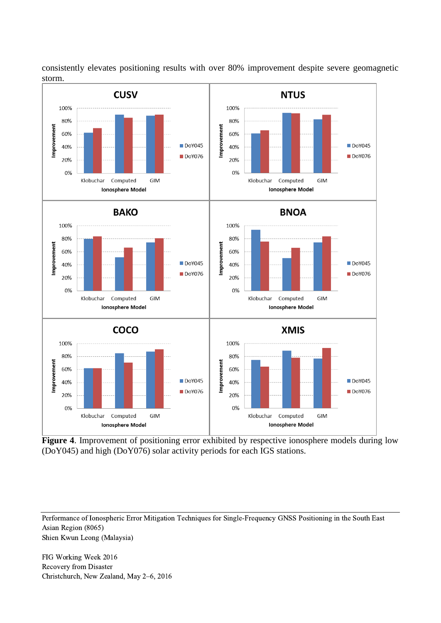



**Figure 4**. Improvement of positioning error exhibited by respective ionosphere models during low (DoY045) and high (DoY076) solar activity periods for each IGS stations.

Performance of Ionospheric Error Mitigation Techniques for Single-Frequency GNSS Positioning in the South East Asian Region (8065) Shien Kwun Leong (Malaysia)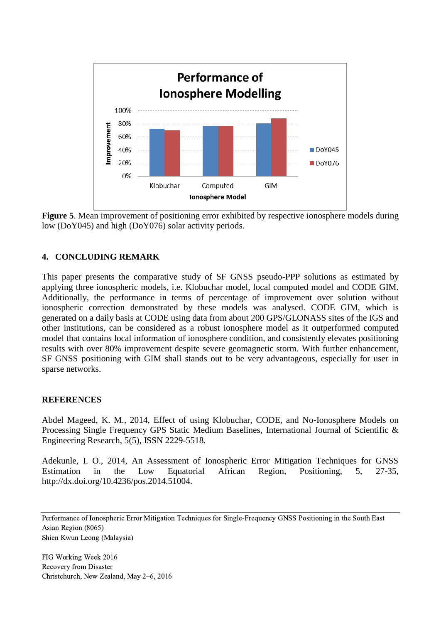

**Figure 5**. Mean improvement of positioning error exhibited by respective ionosphere models during low (DoY045) and high (DoY076) solar activity periods.

# **4. CONCLUDING REMARK**

This paper presents the comparative study of SF GNSS pseudo-PPP solutions as estimated by applying three ionospheric models, i.e. Klobuchar model, local computed model and CODE GIM. Additionally, the performance in terms of percentage of improvement over solution without ionospheric correction demonstrated by these models was analysed. CODE GIM, which is generated on a daily basis at CODE using data from about 200 GPS/GLONASS sites of the IGS and other institutions, can be considered as a robust ionosphere model as it outperformed computed model that contains local information of ionosphere condition, and consistently elevates positioning results with over 80% improvement despite severe geomagnetic storm. With further enhancement, SF GNSS positioning with GIM shall stands out to be very advantageous, especially for user in sparse networks.

#### **REFERENCES**

Abdel Mageed, K. M., 2014, Effect of using Klobuchar, CODE, and No-Ionosphere Models on Processing Single Frequency GPS Static Medium Baselines, International Journal of Scientific & Engineering Research, 5(5), ISSN 2229-5518.

Adekunle, I. O., 2014, An Assessment of Ionospheric Error Mitigation Techniques for GNSS Estimation in the Low Equatorial African Region, Positioning, 5, 27-35, http://dx.doi.org/10.4236/pos.2014.51004.

Performance of Ionospheric Error Mitigation Techniques for Single-Frequency GNSS Positioning in the South East Asian Region (8065) Shien Kwun Leong (Malaysia)